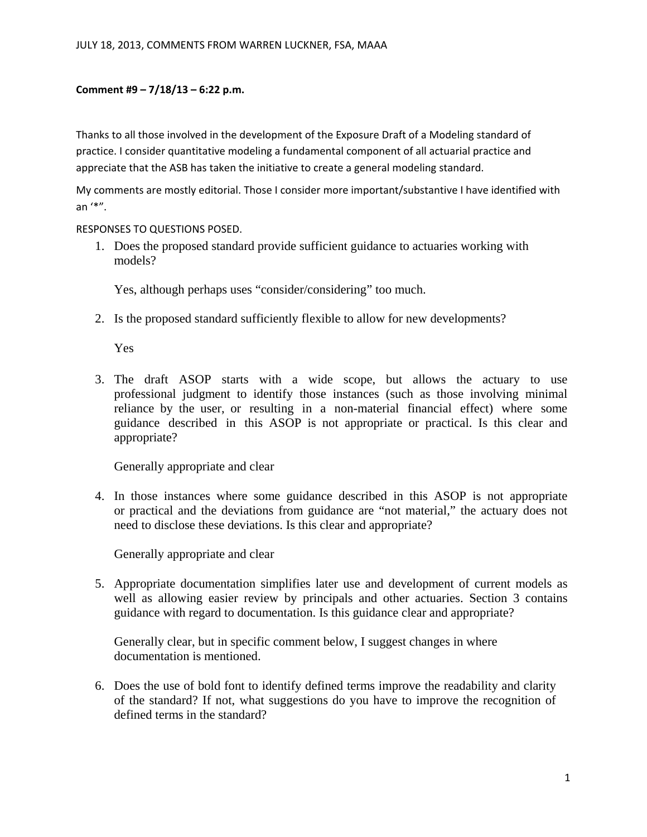## **Comment #9 – 7/18/13 – 6:22 p.m.**

Thanks to all those involved in the development of the Exposure Draft of a Modeling standard of practice. I consider quantitative modeling a fundamental component of all actuarial practice and appreciate that the ASB has taken the initiative to create a general modeling standard.

My comments are mostly editorial. Those I consider more important/substantive I have identified with an '\*".

## RESPONSES TO QUESTIONS POSED.

1. Does the proposed standard provide sufficient guidance to actuaries working with models?

Yes, although perhaps uses "consider/considering" too much.

2. Is the proposed standard sufficiently flexible to allow for new developments?

Yes

3. The draft ASOP starts with a wide scope, but allows the actuary to use professional judgment to identify those instances (such as those involving minimal reliance by the user, or resulting in a non-material financial effect) where some guidance described in this ASOP is not appropriate or practical. Is this clear and appropriate?

Generally appropriate and clear

4. In those instances where some guidance described in this ASOP is not appropriate or practical and the deviations from guidance are "not material," the actuary does not need to disclose these deviations. Is this clear and appropriate?

Generally appropriate and clear

5. Appropriate documentation simplifies later use and development of current models as well as allowing easier review by principals and other actuaries. Section 3 contains guidance with regard to documentation. Is this guidance clear and appropriate?

Generally clear, but in specific comment below, I suggest changes in where documentation is mentioned.

6. Does the use of bold font to identify defined terms improve the readability and clarity of the standard? If not, what suggestions do you have to improve the recognition of defined terms in the standard?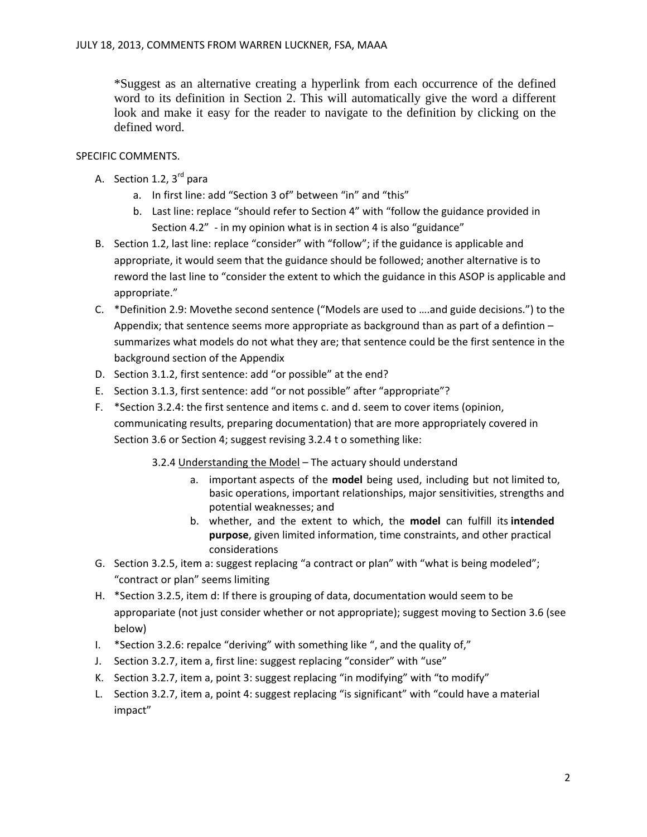\*Suggest as an alternative creating a hyperlink from each occurrence of the defined word to its definition in Section 2. This will automatically give the word a different look and make it easy for the reader to navigate to the definition by clicking on the defined word.

## SPECIFIC COMMENTS.

- A. Section 1.2,  $3<sup>rd</sup>$  para
	- a. In first line: add "Section 3 of" between "in" and "this"
	- b. Last line: replace "should refer to Section 4" with "follow the guidance provided in Section 4.2" - in my opinion what is in section 4 is also "guidance"
- B. Section 1.2, last line: replace "consider" with "follow"; if the guidance is applicable and appropriate, it would seem that the guidance should be followed; another alternative is to reword the last line to "consider the extent to which the guidance in this ASOP is applicable and appropriate."
- C. \*Definition 2.9: Movethe second sentence ("Models are used to ….and guide decisions.") to the Appendix; that sentence seems more appropriate as background than as part of a defintion – summarizes what models do not what they are; that sentence could be the first sentence in the background section of the Appendix
- D. Section 3.1.2, first sentence: add "or possible" at the end?
- E. Section 3.1.3, first sentence: add "or not possible" after "appropriate"?
- F. \*Section 3.2.4: the first sentence and items c. and d. seem to cover items (opinion, communicating results, preparing documentation) that are more appropriately covered in Section 3.6 or Section 4; suggest revising 3.2.4 t o something like:
	- 3.2.4 Understanding the Model The actuary should understand
		- a. important aspects of the **model** being used, including but not limited to, basic operations, important relationships, major sensitivities, strengths and potential weaknesses; and
		- b. whether, and the extent to which, the **model** can fulfill its **intended purpose**, given limited information, time constraints, and other practical considerations
- G. Section 3.2.5, item a: suggest replacing "a contract or plan" with "what is being modeled"; "contract or plan" seems limiting
- H. \*Section 3.2.5, item d: If there is grouping of data, documentation would seem to be appropariate (not just consider whether or not appropriate); suggest moving to Section 3.6 (see below)
- I. \*Section 3.2.6: repalce "deriving" with something like ", and the quality of,"
- J. Section 3.2.7, item a, first line: suggest replacing "consider" with "use"
- K. Section 3.2.7, item a, point 3: suggest replacing "in modifying" with "to modify"
- L. Section 3.2.7, item a, point 4: suggest replacing "is significant" with "could have a material impact"